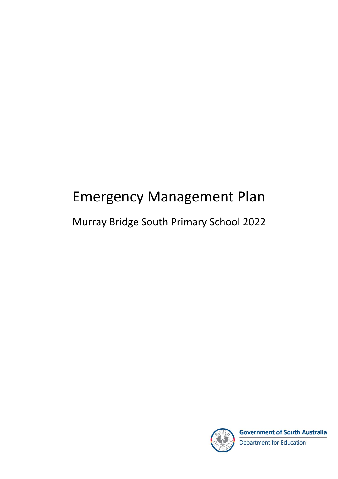# Emergency Management Plan

### Murray Bridge South Primary School 2022



**Government of South Australia** Department for Education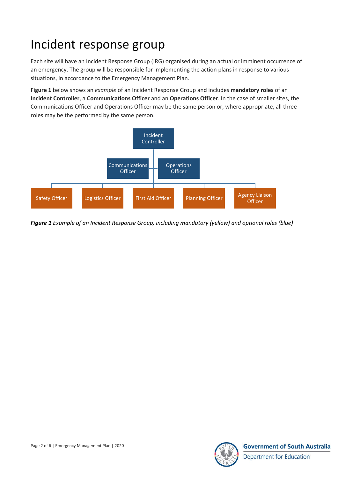## Incident response group

Each site will have an Incident Response Group (IRG) organised during an actual or imminent occurrence of an emergency. The group will be responsible for implementing the action plans in response to various situations, in accordance to the Emergency Management Plan.

**Figure 1** below shows an *example* of an Incident Response Group and includes **mandatory roles** of an **Incident Controller**, a **Communications Officer** and an **Operations Officer**. In the case of smaller sites, the Communications Officer and Operations Officer may be the same person or, where appropriate, all three roles may be the performed by the same person.



*Figure 1 Example of an Incident Response Group, including mandatory (yellow) and optional roles (blue)*

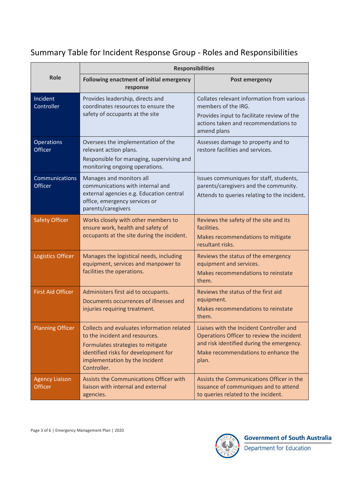#### Summary Table for Incident Response Group - Roles and Responsibilities

|                                         | <b>Responsibilities</b>                                                                                                                                                                                    |                                                                                                                                                                                    |
|-----------------------------------------|------------------------------------------------------------------------------------------------------------------------------------------------------------------------------------------------------------|------------------------------------------------------------------------------------------------------------------------------------------------------------------------------------|
| <b>Role</b>                             | <b>Following enactment of initial emergency</b><br>response                                                                                                                                                | <b>Post emergency</b>                                                                                                                                                              |
| Incident<br>Controller                  | Provides leadership, directs and<br>coordinates resources to ensure the<br>safety of occupants at the site                                                                                                 | Collates relevant information from various<br>members of the IRG.<br>Provides input to facilitate review of the<br>actions taken and recommendations to<br>amend plans             |
| <b>Operations</b><br><b>Officer</b>     | Oversees the implementation of the<br>relevant action plans.<br>Responsible for managing, supervising and<br>monitoring ongoing operations.                                                                | Assesses damage to property and to<br>restore facilities and services.                                                                                                             |
| Communications<br>Officer               | Manages and monitors all<br>communications with internal and<br>external agencies e.g. Education central<br>office, emergency services or<br>parents/caregivers                                            | Issues communiques for staff, students,<br>parents/caregivers and the community.<br>Attends to queries relating to the incident.                                                   |
| <b>Safety Officer</b>                   | Works closely with other members to<br>ensure work, health and safety of<br>occupants at the site during the incident.                                                                                     | Reviews the safety of the site and its<br>facilities.<br>Makes recommendations to mitigate<br>resultant risks.                                                                     |
| Logistics Officer                       | Manages the logistical needs, including<br>equipment, services and manpower to<br>facilities the operations.                                                                                               | Reviews the status of the emergency<br>equipment and services.<br>Makes recommendations to reinstate<br>them.                                                                      |
| <b>First Aid Officer</b>                | Administers first aid to occupants.<br>Documents occurrences of illnesses and<br>injuries requiring treatment.                                                                                             | Reviews the status of the first aid<br>equipment.<br>Makes recommendations to reinstate<br>them.                                                                                   |
| <b>Planning Officer</b>                 | Collects and evaluates information related<br>to the incident and resources.<br>Formulates strategies to mitigate<br>identified risks for development for<br>implementation by the Incident<br>Controller. | Liaises with the Incident Controller and<br>Operations Officer to review the incident<br>and risk identified during the emergency.<br>Make recommendations to enhance the<br>plan. |
| <b>Agency Liaison</b><br><b>Officer</b> | Assists the Communications Officer with<br>liaison with internal and external<br>agencies.                                                                                                                 | Assists the Communications Officer in the<br>issuance of communiques and to attend<br>to queries related to the incident.                                                          |

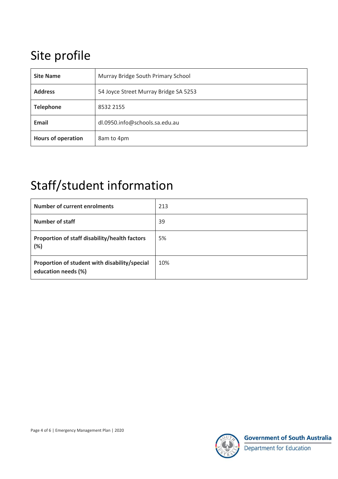## Site profile

| <b>Site Name</b>   | Murray Bridge South Primary School    |
|--------------------|---------------------------------------|
| <b>Address</b>     | 54 Joyce Street Murray Bridge SA 5253 |
| <b>Telephone</b>   | 8532 2155                             |
| <b>Email</b>       | dl.0950.info@schools.sa.edu.au        |
| Hours of operation | 8am to 4pm                            |

## Staff/student information

| <b>Number of current enrolments</b>                                  | 213 |
|----------------------------------------------------------------------|-----|
| <b>Number of staff</b>                                               | 39  |
| Proportion of staff disability/health factors<br>(%)                 | 5%  |
| Proportion of student with disability/special<br>education needs (%) | 10% |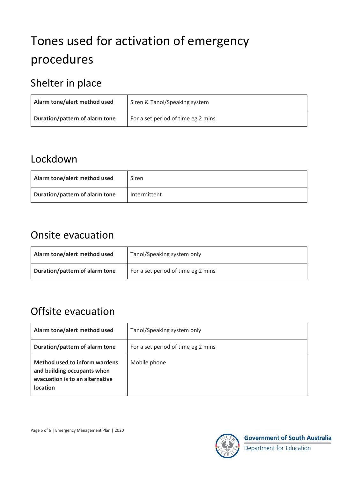# Tones used for activation of emergency procedures

### Shelter in place

| Alarm tone/alert method used   | Siren & Tanoi/Speaking system      |
|--------------------------------|------------------------------------|
| Duration/pattern of alarm tone | For a set period of time eg 2 mins |

#### Lockdown

| Alarm tone/alert method used   | Siren        |
|--------------------------------|--------------|
| Duration/pattern of alarm tone | Intermittent |

#### Onsite evacuation

| Alarm tone/alert method used   | Tanoi/Speaking system only         |
|--------------------------------|------------------------------------|
| Duration/pattern of alarm tone | For a set period of time eg 2 mins |

### Offsite evacuation

| Alarm tone/alert method used                                                                                       | Tanoi/Speaking system only         |
|--------------------------------------------------------------------------------------------------------------------|------------------------------------|
| Duration/pattern of alarm tone                                                                                     | For a set period of time eg 2 mins |
| Method used to inform wardens<br>and building occupants when<br>evacuation is to an alternative<br><b>location</b> | Mobile phone                       |